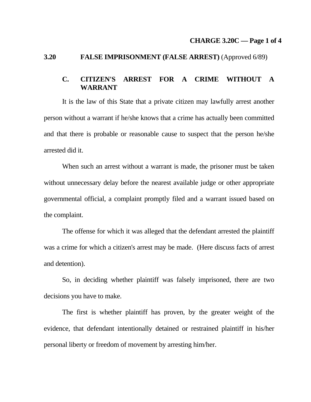#### **CHARGE 3.20C — Page 1 of 4**

## **3.20 FALSE IMPRISONMENT (FALSE ARREST)** (Approved 6/89)

## **C. CITIZEN'S ARREST FOR A CRIME WITHOUT A WARRANT**

 It is the law of this State that a private citizen may lawfully arrest another person without a warrant if he/she knows that a crime has actually been committed and that there is probable or reasonable cause to suspect that the person he/she arrested did it.

When such an arrest without a warrant is made, the prisoner must be taken without unnecessary delay before the nearest available judge or other appropriate governmental official, a complaint promptly filed and a warrant issued based on the complaint.

 The offense for which it was alleged that the defendant arrested the plaintiff was a crime for which a citizen's arrest may be made. (Here discuss facts of arrest and detention).

 So, in deciding whether plaintiff was falsely imprisoned, there are two decisions you have to make.

 The first is whether plaintiff has proven, by the greater weight of the evidence, that defendant intentionally detained or restrained plaintiff in his/her personal liberty or freedom of movement by arresting him/her.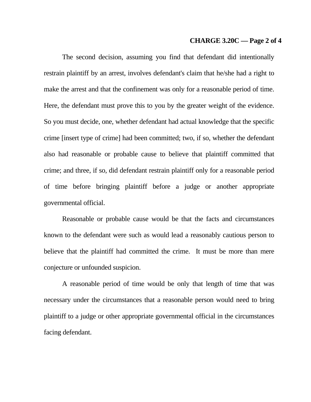#### **CHARGE 3.20C — Page 2 of 4**

 The second decision, assuming you find that defendant did intentionally restrain plaintiff by an arrest, involves defendant's claim that he/she had a right to make the arrest and that the confinement was only for a reasonable period of time. Here, the defendant must prove this to you by the greater weight of the evidence. So you must decide, one, whether defendant had actual knowledge that the specific crime [insert type of crime] had been committed; two, if so, whether the defendant also had reasonable or probable cause to believe that plaintiff committed that crime; and three, if so, did defendant restrain plaintiff only for a reasonable period of time before bringing plaintiff before a judge or another appropriate governmental official.

 Reasonable or probable cause would be that the facts and circumstances known to the defendant were such as would lead a reasonably cautious person to believe that the plaintiff had committed the crime. It must be more than mere conjecture or unfounded suspicion.

 A reasonable period of time would be only that length of time that was necessary under the circumstances that a reasonable person would need to bring plaintiff to a judge or other appropriate governmental official in the circumstances facing defendant.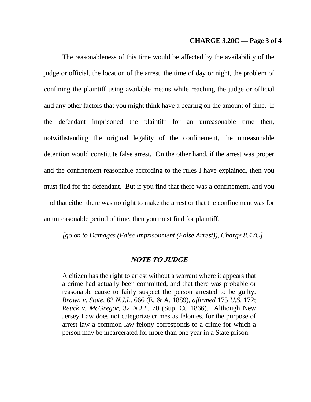#### **CHARGE 3.20C — Page 3 of 4**

 The reasonableness of this time would be affected by the availability of the judge or official, the location of the arrest, the time of day or night, the problem of confining the plaintiff using available means while reaching the judge or official and any other factors that you might think have a bearing on the amount of time. If the defendant imprisoned the plaintiff for an unreasonable time then, notwithstanding the original legality of the confinement, the unreasonable detention would constitute false arrest. On the other hand, if the arrest was proper and the confinement reasonable according to the rules I have explained, then you must find for the defendant. But if you find that there was a confinement, and you find that either there was no right to make the arrest or that the confinement was for an unreasonable period of time, then you must find for plaintiff.

*[go on to Damages (False Imprisonment (False Arrest)), Charge 8.47C]* 

## **NOTE TO JUDGE**

A citizen has the right to arrest without a warrant where it appears that a crime had actually been committed, and that there was probable or reasonable cause to fairly suspect the person arrested to be guilty. *Brown v. State*, 62 *N.J.L*. 666 (E. & A. 1889), *affirmed* 175 *U.S*. 172; *Reuck v. McGregor*, 32 *N.J.L*. 70 (Sup. Ct. 1866). Although New Jersey Law does not categorize crimes as felonies, for the purpose of arrest law a common law felony corresponds to a crime for which a person may be incarcerated for more than one year in a State prison.